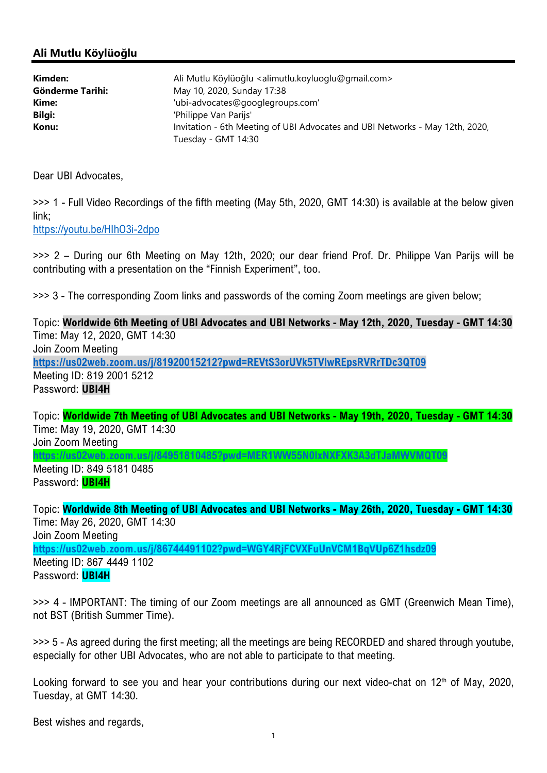## Ali Mutlu Köylüoğlu

| Kimden:                 | Ali Mutlu Köylüoğlu <alimutlu.koyluoglu@gmail.com></alimutlu.koyluoglu@gmail.com> |
|-------------------------|-----------------------------------------------------------------------------------|
| <b>Gönderme Tarihi:</b> | May 10, 2020, Sunday 17:38                                                        |
| Kime:                   | 'ubi-advocates@googlegroups.com'                                                  |
| Bilgi:                  | 'Philippe Van Parijs'                                                             |
| Konu:                   | Invitation - 6th Meeting of UBI Advocates and UBI Networks - May 12th, 2020,      |
|                         | Tuesday - GMT 14:30                                                               |

Dear UBI Advocates,

>>> 1 - Full Video Recordings of the fifth meeting (May 5th, 2020, GMT 14:30) is available at the below given link;

https://youtu.be/HIhO3i-2dpo

>>> 2 – During our 6th Meeting on May 12th, 2020; our dear friend Prof. Dr. Philippe Van Parijs will be contributing with a presentation on the "Finnish Experiment", too.

>>> 3 - The corresponding Zoom links and passwords of the coming Zoom meetings are given below;

Topic: Worldwide 6th Meeting of UBI Advocates and UBI Networks - May 12th, 2020, Tuesday - GMT 14:30 Time: May 12, 2020, GMT 14:30 Join Zoom Meeting https://us02web.zoom.us/j/81920015212?pwd=REVtS3orUVk5TVlwREpsRVRrTDc3QT09 Meeting ID: 819 2001 5212 Password: UBI4H

Topic: Worldwide 7th Meeting of UBI Advocates and UBI Networks - May 19th, 2020, Tuesday - GMT 14:30 Time: May 19, 2020, GMT 14:30 Join Zoom Meeting

https://us02web.zoom.us/j/84951810485?pwd=MER1WW55N0lxNXFXK3A3dTJaMWVMQT09 Meeting ID: 849 5181 0485

Password: **UBI4H** 

Topic: Worldwide 8th Meeting of UBI Advocates and UBI Networks - May 26th, 2020, Tuesday - GMT 14:30 Time: May 26, 2020, GMT 14:30 Join Zoom Meeting https://us02web.zoom.us/j/86744491102?pwd=WGY4RjFCVXFuUnVCM1BqVUp6Z1hsdz09 Meeting ID: 867 4449 1102 Password: **UBI4H** 

>>> 4 - IMPORTANT: The timing of our Zoom meetings are all announced as GMT (Greenwich Mean Time), not BST (British Summer Time).

>>> 5 - As agreed during the first meeting; all the meetings are being RECORDED and shared through youtube, especially for other UBI Advocates, who are not able to participate to that meeting.

Looking forward to see you and hear your contributions during our next video-chat on 12<sup>th</sup> of May, 2020, Tuesday, at GMT 14:30.

Best wishes and regards,